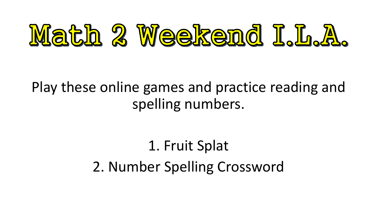# Math 2 Weekend I.L.A.

Play these online games and practice reading and spelling numbers.

> 1. Fruit Splat 2. Number Spelling Crossword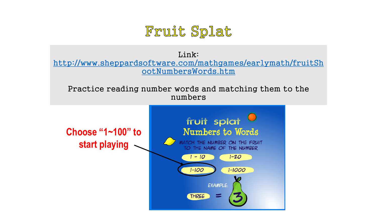### Fruit Splat

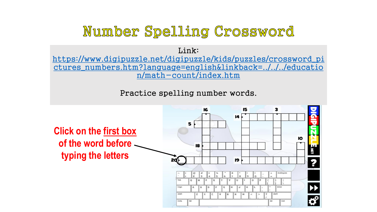### Number Spelling Crossword

Link:

https://www.digipuzzle.net/digipuzzle/kids/puzzles/crossword\_pi [ctures\\_numbers.htm?language=english&linkback=../../../educatio](https://www.digipuzzle.net/digipuzzle/kids/puzzles/crossword_pictures_numbers.htm?language=english&linkback=../../../education/math-count/index.htm) n/math-count/index.htm

Practice spelling number words.

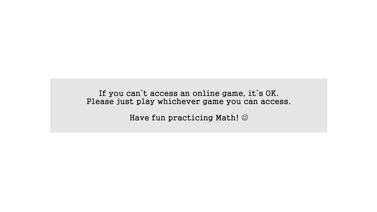If you can't access an online game, it's OK. Please just play whichever game you can access.

Have fun practicing Math!  $\odot$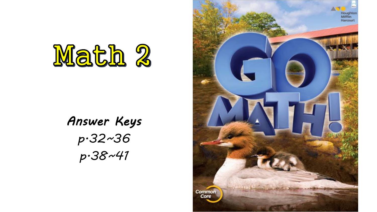

## *Answer Keys p.32~36 p.38~41*

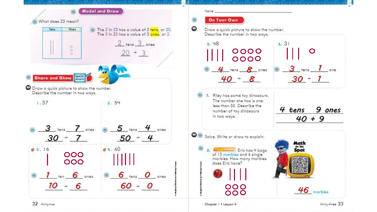

Chapter | . Lesson 4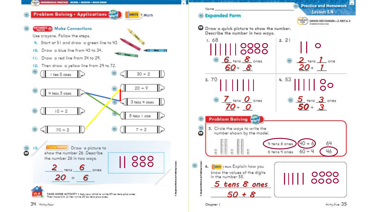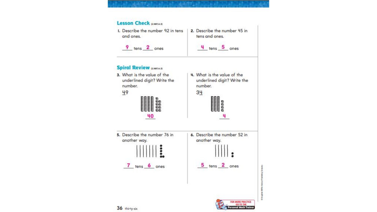#### **Lesson Check GABTAJY** 2. Describe the number 45 in I. Describe the number 92 in tens and ones. tens and ones. 9 tens 2 ones  $\frac{4}{1}$  tens  $\frac{5}{2}$  ones **Spiral Review (ANSTA.1)** 3. What is the value of the 4. What is the value of the underlined digit? Write the underlined digit? Write the number. number. 49  $3<sup>4</sup>$  $\begin{array}{c} \overline{\text{min}} \\ \overline{\text{min}} \\ \overline{\text{min}} \\ \overline{\text{max}} \end{array}$ 8888 黽 40 4 5. Describe the number 76 in 6. Describe the number 52 in another way. another way. 2 5 tens 2 ones  $\frac{7}{1}$  tens  $\frac{6}{1}$  ones FOR MORE PRACTICE GO TO THE Personal Math Trainer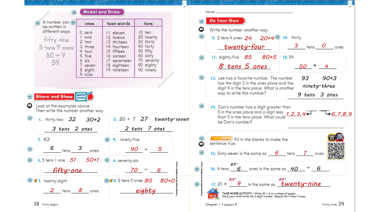



38 thirty-eight